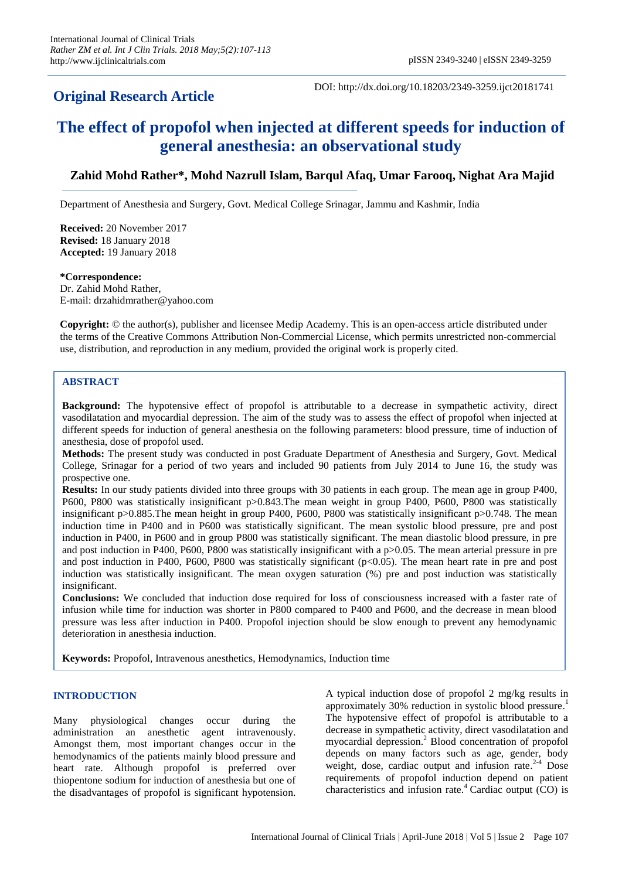## **Original Research Article**

DOI: http://dx.doi.org/10.18203/2349-3259.ijct20181741

# **The effect of propofol when injected at different speeds for induction of general anesthesia: an observational study**

## **Zahid Mohd Rather\*, Mohd Nazrull Islam, Barqul Afaq, Umar Farooq, Nighat Ara Majid**

Department of Anesthesia and Surgery, Govt. Medical College Srinagar, Jammu and Kashmir, India

**Received:** 20 November 2017 **Revised:** 18 January 2018 **Accepted:** 19 January 2018

#### **\*Correspondence:**

Dr. Zahid Mohd Rather, E-mail: drzahidmrather@yahoo.com

**Copyright:** © the author(s), publisher and licensee Medip Academy. This is an open-access article distributed under the terms of the Creative Commons Attribution Non-Commercial License, which permits unrestricted non-commercial use, distribution, and reproduction in any medium, provided the original work is properly cited.

## **ABSTRACT**

**Background:** The hypotensive effect of propofol is attributable to a decrease in sympathetic activity, direct vasodilatation and myocardial depression. The aim of the study was to assess the effect of propofol when injected at different speeds for induction of general anesthesia on the following parameters: blood pressure, time of induction of anesthesia, dose of propofol used.

**Methods:** The present study was conducted in post Graduate Department of Anesthesia and Surgery, Govt. Medical College, Srinagar for a period of two years and included 90 patients from July 2014 to June 16, the study was prospective one.

**Results:** In our study patients divided into three groups with 30 patients in each group. The mean age in group P400, P600, P800 was statistically insignificant p>0.843.The mean weight in group P400, P600, P800 was statistically insignificant p>0.885.The mean height in group P400, P600, P800 was statistically insignificant p>0.748. The mean induction time in P400 and in P600 was statistically significant. The mean systolic blood pressure, pre and post induction in P400, in P600 and in group P800 was statistically significant. The mean diastolic blood pressure, in pre and post induction in P400, P600, P800 was statistically insignificant with a p>0.05. The mean arterial pressure in pre and post induction in P400, P600, P800 was statistically significant  $(p<0.05)$ . The mean heart rate in pre and post induction was statistically insignificant. The mean oxygen saturation (%) pre and post induction was statistically insignificant.

**Conclusions:** We concluded that induction dose required for loss of consciousness increased with a faster rate of infusion while time for induction was shorter in P800 compared to P400 and P600, and the decrease in mean blood pressure was less after induction in P400. Propofol injection should be slow enough to prevent any hemodynamic deterioration in anesthesia induction.

**Keywords:** Propofol, Intravenous anesthetics, Hemodynamics, Induction time

## **INTRODUCTION**

Many physiological changes occur during the administration an anesthetic agent intravenously. Amongst them, most important changes occur in the hemodynamics of the patients mainly blood pressure and heart rate. Although propofol is preferred over thiopentone sodium for induction of anesthesia but one of the disadvantages of propofol is significant hypotension. A typical induction dose of propofol 2 mg/kg results in approximately 30% reduction in systolic blood pressure. 1 The hypotensive effect of propofol is attributable to a decrease in sympathetic activity, direct vasodilatation and myocardial depression. <sup>2</sup> Blood concentration of propofol depends on many factors such as age, gender, body weight, dose, cardiac output and infusion rate.<sup>2-4</sup> Dose requirements of propofol induction depend on patient characteristics and infusion rate[.](http://anesthesiology.pubs.asahq.org/article.aspx?articleid=2026588) <sup>4</sup> Cardiac output (CO) is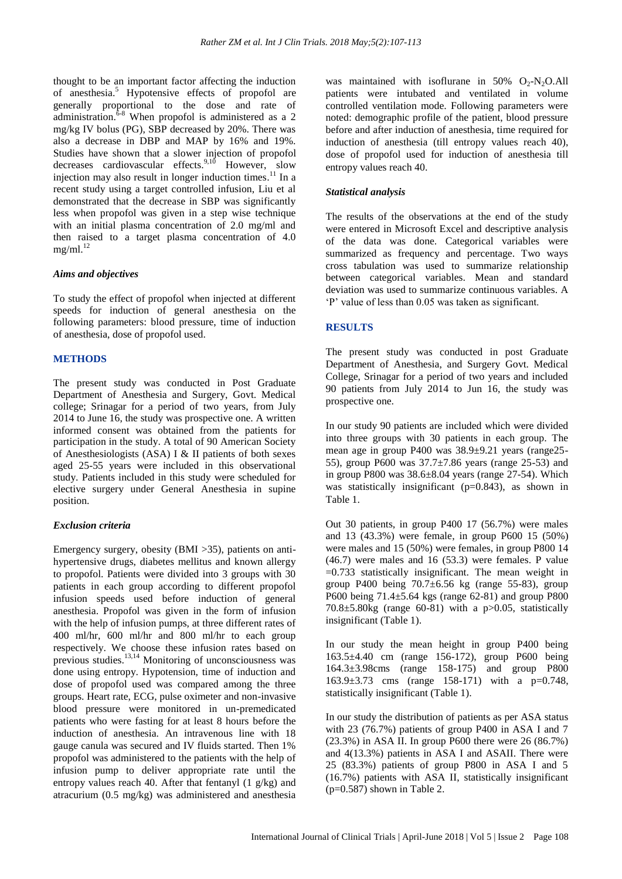thought to be an important factor affecting the induction of anesthesia. <sup>5</sup> Hypotensive effects of propofol are generally proportional to the dose and rate of administration. $6-8$  When propofol is administered as a 2 mg/kg IV bolus (PG), SBP decreased by 20%. There was also a decrease in DBP and MAP by 16% and 19%. Studies have shown that a slower injection of propofol decreases cardiovascular effects.<sup>9,10</sup> However, slow injection may also result in longer induction times.<sup>11</sup> In a recent study using a target controlled infusion, Liu et al demonstrated that the decrease in SBP was significantly less when propofol was given in a step wise technique with an initial plasma concentration of 2.0 mg/ml and then raised to a target plasma concentration of 4.0  $mg/ml.<sup>12</sup>$ 

## *Aims and objectives*

To study the effect of propofol when injected at different speeds for induction of general anesthesia on the following parameters: blood pressure, time of induction of anesthesia, dose of propofol used.

## **METHODS**

The present study was conducted in Post Graduate Department of Anesthesia and Surgery, Govt. Medical college; Srinagar for a period of two years, from July 2014 to June 16, the study was prospective one. A written informed consent was obtained from the patients for participation in the study. A total of 90 American Society of Anesthesiologists (ASA) I & II patients of both sexes aged 25-55 years were included in this observational study. Patients included in this study were scheduled for elective surgery under General Anesthesia in supine position.

## *Exclusion criteria*

Emergency surgery, obesity (BMI >35), patients on antihypertensive drugs, diabetes mellitus and known allergy to propofol. Patients were divided into 3 groups with 30 patients in each group according to different propofol infusion speeds used before induction of general anesthesia. Propofol was given in the form of infusion with the help of infusion pumps, at three different rates of 400 ml/hr, 600 ml/hr and 800 ml/hr to each group respectively. We choose these infusion rates based on previous studies. 13,14 Monitoring of unconsciousness was done using entropy. Hypotension, time of induction and dose of propofol used was compared among the three groups. Heart rate, ECG, pulse oximeter and non-invasive blood pressure were monitored in un-premedicated patients who were fasting for at least 8 hours before the induction of anesthesia. An intravenous line with 18 gauge canula was secured and IV fluids started. Then 1% propofol was administered to the patients with the help of infusion pump to deliver appropriate rate until the entropy values reach 40. After that fentanyl (1 g/kg) and atracurium (0.5 mg/kg) was administered and anesthesia was maintained with isoflurane in 50%  $O_2-N_2O$ . All patients were intubated and ventilated in volume controlled ventilation mode. Following parameters were noted: demographic profile of the patient, blood pressure before and after induction of anesthesia, time required for induction of anesthesia (till entropy values reach 40), dose of propofol used for induction of anesthesia till entropy values reach 40.

## *Statistical analysis*

The results of the observations at the end of the study were entered in Microsoft Excel and descriptive analysis of the data was done. Categorical variables were summarized as frequency and percentage. Two ways cross tabulation was used to summarize relationship between categorical variables. Mean and standard deviation was used to summarize continuous variables. A 'P' value of less than 0.05 was taken as significant.

## **RESULTS**

The present study was conducted in post Graduate Department of Anesthesia, and Surgery Govt. Medical College, Srinagar for a period of two years and included 90 patients from July 2014 to Jun 16, the study was prospective one.

In our study 90 patients are included which were divided into three groups with 30 patients in each group. The mean age in group P400 was 38.9±9.21 years (range25- 55), group P600 was 37.7±7.86 years (range 25-53) and in group P800 was  $38.6\pm8.04$  years (range 27-54). Which was statistically insignificant (p=0.843), as shown in Table 1.

Out 30 patients, in group P400 17 (56.7%) were males and 13 (43.3%) were female, in group P600 15 (50%) were males and 15 (50%) were females, in group P800 14 (46.7) were males and 16 (53.3) were females. P value =0.733 statistically insignificant. The mean weight in group P400 being  $70.7\pm6.56$  kg (range 55-83), group P600 being 71.4±5.64 kgs (range 62-81) and group P800 70.8 $\pm$ 5.80kg (range 60-81) with a p $>$ 0.05, statistically insignificant (Table 1).

In our study the mean height in group P400 being 163.5±4.40 cm (range 156-172), group P600 being 164.3±3.98cms (range 158-175) and group P800 163.9±3.73 cms (range 158-171) with a p=0.748, statistically insignificant (Table 1).

In our study the distribution of patients as per ASA status with 23 (76.7%) patients of group P400 in ASA I and 7 (23.3%) in ASA II. In group P600 there were 26 (86.7%) and 4(13.3%) patients in ASA I and ASAII. There were 25 (83.3%) patients of group P800 in ASA I and 5 (16.7%) patients with ASA II, statistically insignificant (p=0.587) shown in Table 2.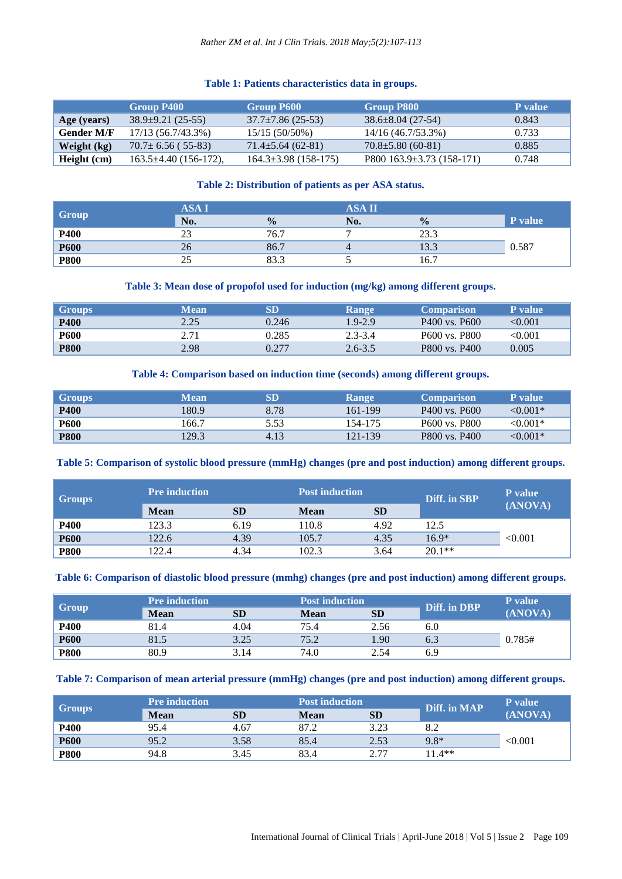## *Rather ZM et al. Int J Clin Trials. 2018 May;5(2):107-113*

## **Table 1: Patients characteristics data in groups.**

|                   | <b>Group P400</b>         | Group P600                 | <b>Group P800</b>                 | <b>P</b> value |
|-------------------|---------------------------|----------------------------|-----------------------------------|----------------|
| Age (years)       | $38.9 \pm 9.21$ (25-55)   | $37.7 \pm 7.86$ (25-53)    | $38.6 \pm 8.04$ (27-54)           | 0.843          |
| <b>Gender M/F</b> | 17/13 (56.7/43.3%)        | $15/15(50/50\%)$           | 14/16 (46.7/53.3%)                | 0.733          |
| Weight (kg)       | $70.7 \pm 6.56$ (55-83)   | $71.4 \pm 5.64$ (62-81)    | $70.8 \pm 5.80$ (60-81)           | 0.885          |
| Height (cm)       | $163.5\pm4.40(156-172)$ , | $164.3 \pm 3.98$ (158-175) | $P800$ 163.9 $\pm$ 3.73 (158-171) | 0.748          |

## **Table 2: Distribution of patients as per ASA status.**

|             | ASA I |               | <b>ASA II</b> |               |         |
|-------------|-------|---------------|---------------|---------------|---------|
| Group       | No.   | $\frac{0}{0}$ | No.           | $\frac{0}{0}$ | P value |
| P400        | ر_ر   | 76.7          |               | 23.3          |         |
| <b>P600</b> | 26    | 86.7          |               | 13.3          | 0.587   |
| <b>P800</b> | رے    | 83.3          |               | 16.7          |         |

## **Table 3: Mean dose of propofol used for induction (mg/kg) among different groups.**

| <b>Groups</b> | Mean | SD    | <b>Range</b> | <b>Comparison</b>                     | <b>P</b> value |
|---------------|------|-------|--------------|---------------------------------------|----------------|
| <b>P400</b>   | 2.25 | 0.246 | $1.9 - 2.9$  | P400 vs. P600                         | $<\!\!0.001$   |
| <b>P600</b>   | 2.71 | 0.285 | $2.3 - 3.4$  | P <sub>600</sub> vs. P <sub>800</sub> | $<\!\!0.001$   |
| <b>P800</b>   | 2.98 | 0.277 | $2.6 - 3.5$  | P800 vs. P400                         | 0.005          |

## **Table 4: Comparison based on induction time (seconds) among different groups.**

| <b>Groups</b> | Mean  | SD   | Range   | <b>Comparison</b>                     | <b>P</b> value |
|---------------|-------|------|---------|---------------------------------------|----------------|
| <b>P400</b>   | 180.9 | 8.78 | 161-199 | P400 vs. P600                         | $< 0.001*$     |
| <b>P600</b>   | 166.7 | 5.53 | 154-175 | P <sub>600</sub> vs. P <sub>800</sub> | ${<}0.001*$    |
| <b>P800</b>   | 129.3 | 4.13 | 121-139 | P800 vs. P400                         | $< 0.001*$     |

## **Table 5: Comparison of systolic blood pressure (mmHg) changes (pre and post induction) among different groups.**

| <b>Groups</b> | <b>Pre induction</b> |           | <b>Post induction</b> |           | Diff. in SBP | <b>P</b> value |
|---------------|----------------------|-----------|-----------------------|-----------|--------------|----------------|
|               | <b>Mean</b>          | <b>SD</b> | <b>Mean</b>           | <b>SD</b> |              | (ANOVA)        |
| <b>P400</b>   | 123.3                | 6.19      | 110.8                 | 4.92      | 12.5         |                |
| <b>P600</b>   | 122.6                | 4.39      | 105.7                 | 4.35      | $16.9*$      | < 0.001        |
| <b>P800</b>   | 122.4                | 4.34      | 102.3                 | 3.64      | $20.1**$     |                |

## **Table 6: Comparison of diastolic blood pressure (mmhg) changes (pre and post induction) among different groups.**

| Group       | <b>Pre induction</b> |           | <b>Post induction</b> |           | Diff. in DBP | <b>P</b> value |
|-------------|----------------------|-----------|-----------------------|-----------|--------------|----------------|
|             | <b>Mean</b>          | <b>SD</b> | <b>Mean</b>           | <b>SD</b> |              | (ANOVA)        |
| P400        | 81.4                 | 4.04      | 75.4                  | 2.56      | 6.0          |                |
| <b>P600</b> | 81.5                 | 3.25      | 75.2                  | 1.90      | 6.3          | 0.785#         |
| <b>P800</b> | 80.9                 | 3.14      | 74.0                  | 2.54      | 6.9          |                |

## **Table 7: Comparison of mean arterial pressure (mmHg) changes (pre and post induction) among different groups.**

| Groups      | <b>Pre induction</b> |           | <b>Post induction</b> |           | Diff. in MAP | P value |
|-------------|----------------------|-----------|-----------------------|-----------|--------------|---------|
|             | <b>Mean</b>          | <b>SD</b> | <b>Mean</b>           | <b>SD</b> |              | (ANOVA) |
| <b>P400</b> | 95.4                 | 4.67      | 87.2                  | 3.23      | 8.2          |         |
| <b>P600</b> | 95.2                 | 3.58      | 85.4                  | 2.53      | $9.8*$       | < 0.001 |
| <b>P800</b> | 94.8                 | 3.45      | 83.4                  | C 77      | 11.4**       |         |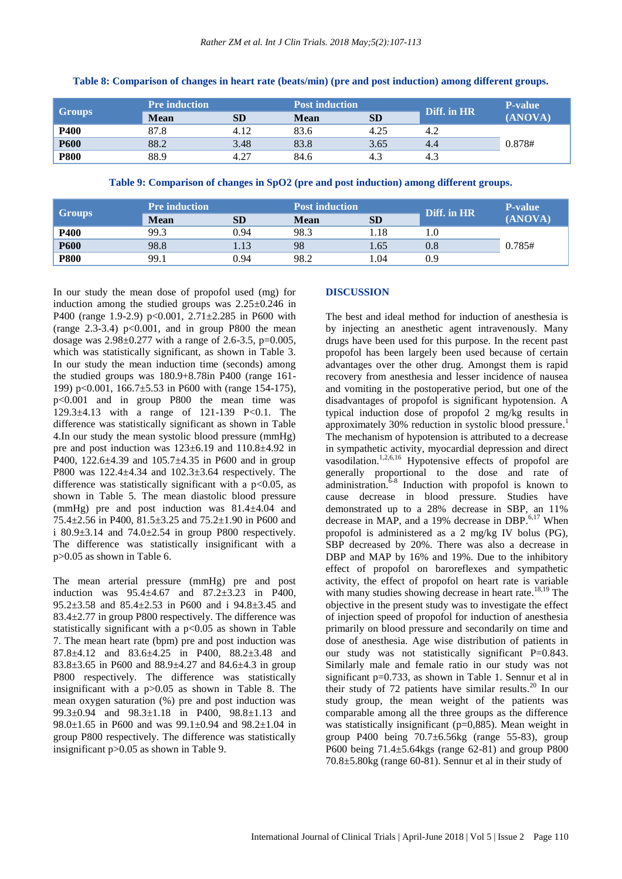| <b>Groups</b> | <b>Pre</b> induction |           | <b>Post induction</b> |           | Diff. in HR | <b>P-value</b> |
|---------------|----------------------|-----------|-----------------------|-----------|-------------|----------------|
|               | <b>Mean</b>          | <b>SD</b> | Mean                  | <b>SD</b> |             | (ANOVA)        |
| <b>P400</b>   | 87.8                 | 4.12      | 83.6                  | 4.25      | 4.2         |                |
| <b>P600</b>   | 88.2                 | 3.48      | 83.8                  | 3.65      | 4.4         | 0.878#         |
| <b>P800</b>   | 88.9                 | 4.27      | 84.6                  | 4.3       | 4.3         |                |

#### **Table 8: Comparison of changes in heart rate (beats/min) (pre and post induction) among different groups.**

**Table 9: Comparison of changes in SpO2 (pre and post induction) among different groups.**

| <b>Groups</b> | <b>Pre</b> induction |           | <b>Post induction</b> |           | Diff. in HR | <b>P-value</b> |
|---------------|----------------------|-----------|-----------------------|-----------|-------------|----------------|
|               | <b>Mean</b>          | <b>SD</b> | <b>Mean</b>           | <b>SD</b> |             | (ANOVA)        |
| P400          | 99.3                 | 0.94      | 98.3                  | 1.18      |             |                |
| <b>P600</b>   | 98.8                 | 1.13      | 98                    | 1.65      | 0.8         | 0.785#         |
| <b>P800</b>   | 99.1                 | 0.94      | 98.2                  | 1.04      | 0.9         |                |

In our study the mean dose of propofol used (mg) for induction among the studied groups was  $2.25 \pm 0.246$  in P400 (range 1.9-2.9) p<0.001,  $2.71 \pm 2.285$  in P600 with (range  $2.3-3.4$ )  $p<0.001$ , and in group P800 the mean dosage was  $2.98 \pm 0.277$  with a range of 2.6-3.5, p=0.005, which was statistically significant, as shown in Table 3. In our study the mean induction time (seconds) among the studied groups was 180.9+8.78in P400 (range 161- 199) p<0.001, 166.7±5.53 in P600 with (range 154-175), p<0.001 and in group P800 the mean time was 129.3±4.13 with a range of 121-139 P<0.1. The difference was statistically significant as shown in Table 4.In our study the mean systolic blood pressure (mmHg) pre and post induction was 123±6.19 and 110.8±4.92 in P400, 122.6±4.39 and 105.7±4.35 in P600 and in group P800 was 122.4±4.34 and 102.3±3.64 respectively. The difference was statistically significant with a  $p<0.05$ , as shown in Table 5. The mean diastolic blood pressure (mmHg) pre and post induction was 81.4±4.04 and 75.4±2.56 in P400, 81.5±3.25 and 75.2±1.90 in P600 and i 80.9 $\pm$ 3.14 and 74.0 $\pm$ 2.54 in group P800 respectively. The difference was statistically insignificant with a p>0.05 as shown in Table 6.

The mean arterial pressure (mmHg) pre and post induction was 95.4±4.67 and 87.2±3.23 in P400, 95.2±3.58 and 85.4±2.53 in P600 and i 94.8±3.45 and 83.4±2.77 in group P800 respectively. The difference was statistically significant with a p<0.05 as shown in Table 7. The mean heart rate (bpm) pre and post induction was 87.8±4.12 and 83.6±4.25 in P400, 88.2±3.48 and 83.8±3.65 in P600 and 88.9±4.27 and 84.6±4.3 in group P800 respectively. The difference was statistically insignificant with a p>0.05 as shown in Table 8. The mean oxygen saturation (%) pre and post induction was 99.3±0.94 and 98.3±1.18 in P400, 98.8±1.13 and 98.0±1.65 in P600 and was 99.1±0.94 and 98.2±1.04 in group P800 respectively. The difference was statistically insignificant p>0.05 as shown in Table 9.

## **DISCUSSION**

The best and ideal method for induction of anesthesia is by injecting an anesthetic agent intravenously. Many drugs have been used for this purpose. In the recent past propofol has been largely been used because of certain advantages over the other drug. Amongst them is rapid recovery from anesthesia and lesser incidence of nausea and vomiting in the postoperative period, but one of the disadvantages of propofol is significant hypotension. A typical induction dose of propofol 2 mg/kg results in approximately 30% reduction in systolic blood pressure. 1 The mechanism of hypotension is attributed to a decrease in sympathetic activity, myocardial depression and direct vasodilation.<sup>1,2,6,16</sup> Hypotensive effects of propofol are generally proportional to the dose and rate of administration.<sup>6-8</sup> Induction with propofol is known to cause decrease in blood pressure. Studies have demonstrated up to a 28% decrease in SBP, an 11% decrease in MAP, and a 19% decrease in DBP. $6,17$  When propofol is administered as a 2 mg/kg IV bolus (PG), SBP decreased by 20%. There was also a decrease in DBP and MAP by 16% and 19%. Due to the inhibitory effect of propofol on baroreflexes and sympathetic activity, the effect of propofol on heart rate is variable with many studies showing decrease in heart rate.<sup>18,19</sup> The objective in the present study was to investigate the effect of injection speed of propofol for induction of anesthesia primarily on blood pressure and secondarily on time and dose of anesthesia. Age wise distribution of patients in our study was not statistically significant P=0.843. Similarly male and female ratio in our study was not significant p=0.733, as shown in Table 1. Sennur et al in their study of 72 patients have similar results.<sup>20</sup> In our study group, the mean weight of the patients was comparable among all the three groups as the difference was statistically insignificant (p=0,885). Mean weight in group P400 being 70.7±6.56kg (range 55-83), group P600 being 71.4±5.64kgs (range 62-81) and group P800 70.8±5.80kg (range 60-81). Sennur et al in their study of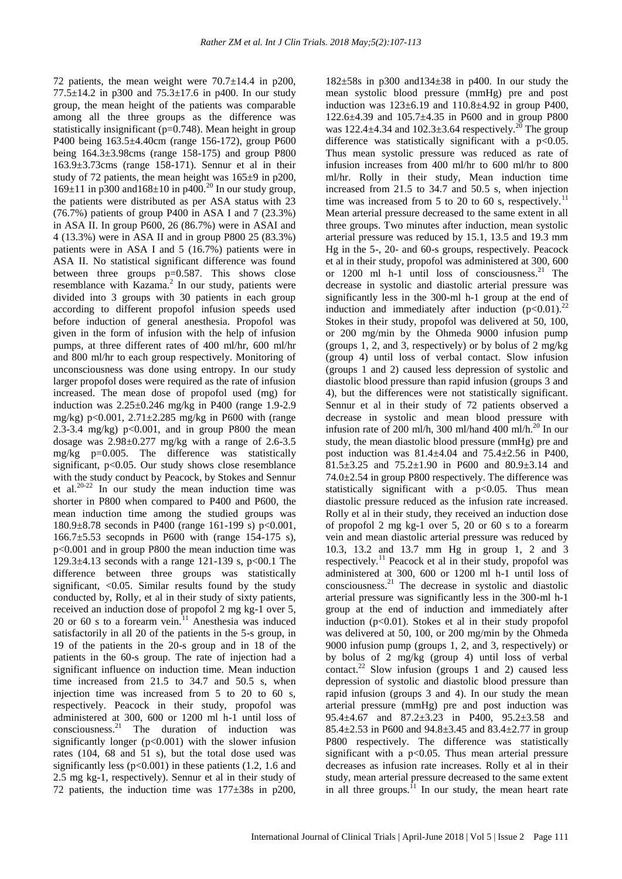72 patients, the mean weight were  $70.7 \pm 14.4$  in p200, 77.5 $\pm$ 14.2 in p300 and 75.3 $\pm$ 17.6 in p400. In our study group, the mean height of the patients was comparable among all the three groups as the difference was statistically insignificant (p=0.748). Mean height in group P400 being 163.5±4.40cm (range 156-172), group P600 being 164.3±3.98cms (range 158-175) and group P800 163.9±3.73cms (range 158-171). Sennur et al in their study of 72 patients, the mean height was 165±9 in p200,  $169±11$  in p300 and  $168±10$  in p400.<sup>20</sup> In our study group, the patients were distributed as per ASA status with 23 (76.7%) patients of group P400 in ASA I and 7 (23.3%) in ASA II. In group P600, 26 (86.7%) were in ASAI and 4 (13.3%) were in ASA II and in group P800 25 (83.3%) patients were in ASA I and 5 (16.7%) patients were in ASA II. No statistical significant difference was found between three groups p=0.587. This shows close resemblance with Kazama.<sup>2</sup> In our study, patients were divided into 3 groups with 30 patients in each group according to different propofol infusion speeds used before induction of general anesthesia. Propofol was given in the form of infusion with the help of infusion pumps, at three different rates of 400 ml/hr, 600 ml/hr and 800 ml/hr to each group respectively. Monitoring of unconsciousness was done using entropy. In our study larger propofol doses were required as the rate of infusion increased. The mean dose of propofol used (mg) for induction was 2.25±0.246 mg/kg in P400 (range 1.9-2.9 mg/kg) p<0.001,  $2.71 \pm 2.285$  mg/kg in P600 with (range 2.3-3.4 mg/kg)  $p<0.001$ , and in group P800 the mean dosage was  $2.98 \pm 0.277$  mg/kg with a range of 2.6-3.5 mg/kg p=0.005. The difference was statistically significant,  $p<0.05$ . Our study shows close resemblance with the study conduct by Peacock, by Stokes and Sennur et al. $20-22$  In our study the mean induction time was shorter in P800 when compared to P400 and P600, the mean induction time among the studied groups was 180.9 $\pm$ 8.78 seconds in P400 (range 161-199 s) p<0.001, 166.7 $\pm$ 5.53 secopnds in P600 with (range 154-175 s), p<0.001 and in group P800 the mean induction time was 129.3 $\pm$ 4.13 seconds with a range 121-139 s, p<00.1 The difference between three groups was statistically significant,  $\langle 0.05$ . Similar results found by the study conducted by, Rolly, et al in their study of sixty patients, received an induction dose of propofol 2 mg kg-1 over 5, 20 or 60 s to a forearm vein.<sup>11</sup> Anesthesia was induced satisfactorily in all 20 of the patients in the 5-s group, in 19 of the patients in the 20-s group and in 18 of the patients in the 60-s group. The rate of injection had a significant influence on induction time. Mean induction time increased from 21.5 to 34.7 and 50.5 s, when injection time was increased from 5 to 20 to 60 s, respectively. Peacock in their study, propofol was administered at 300, 600 or 1200 ml h-1 until loss of consciousness.<sup>21</sup> The duration of induction was significantly longer  $(p<0.001)$  with the slower infusion rates (104, 68 and 51 s), but the total dose used was significantly less  $(p<0.001)$  in these patients  $(1.2, 1.6$  and 2.5 mg kg-1, respectively). Sennur et al in their study of 72 patients, the induction time was 177±38s in p200,

 $182\pm58s$  in p300 and  $134\pm38$  in p400. In our study the mean systolic blood pressure (mmHg) pre and post induction was  $123 \pm 6.19$  and  $110.8 \pm 4.92$  in group P400, 122.6±4.39 and 105.7±4.35 in P600 and in group P800 was 122.4 $\pm$ 4.34 and 102.3 $\pm$ 3.64 respectively.<sup>20</sup> The group difference was statistically significant with a  $p<0.05$ . Thus mean systolic pressure was reduced as rate of infusion increases from 400 ml/hr to 600 ml/hr to 800 ml/hr. Rolly in their study, Mean induction time increased from 21.5 to 34.7 and 50.5 s, when injection time was increased from 5 to 20 to 60 s, respectively.<sup>11</sup> Mean arterial pressure decreased to the same extent in all three groups. Two minutes after induction, mean systolic arterial pressure was reduced by 15.1, 13.5 and 19.3 mm Hg in the 5-, 20- and 60-s groups, respectively. Peacock et al in their study, propofol was administered at 300, 600 or 1200 ml h-1 until loss of consciousness. $21$  The decrease in systolic and diastolic arterial pressure was significantly less in the 300-ml h-1 group at the end of induction and immediately after induction  $(p<0.01)$ .<sup>22</sup> Stokes in their study, propofol was delivered at 50, 100, or 200 mg/min by the Ohmeda 9000 infusion pump (groups 1, 2, and 3, respectively) or by bolus of 2 mg/kg (group 4) until loss of verbal contact. Slow infusion (groups 1 and 2) caused less depression of systolic and diastolic blood pressure than rapid infusion (groups 3 and 4), but the differences were not statistically significant. Sennur et al in their study of 72 patients observed a decrease in systolic and mean blood pressure with infusion rate of 200 ml/h, 300 ml/hand 400 ml/h.<sup>20</sup> In our study, the mean diastolic blood pressure (mmHg) pre and post induction was  $81.4 \pm 4.04$  and  $75.4 \pm 2.56$  in P400, 81.5±3.25 and 75.2±1.90 in P600 and 80.9±3.14 and 74.0±2.54 in group P800 respectively. The difference was statistically significant with a  $p<0.05$ . Thus mean diastolic pressure reduced as the infusion rate increased. Rolly et al in their study, they received an induction dose of propofol 2 mg kg-1 over 5, 20 or 60 s to a forearm vein and mean diastolic arterial pressure was reduced by 10.3, 13.2 and 13.7 mm Hg in group 1, 2 and 3 respectively.<sup>11</sup> Peacock et al in their study, propofol was administered at 300, 600 or 1200 ml h-1 until loss of consciousness. <sup>21</sup> The decrease in systolic and diastolic arterial pressure was significantly less in the 300-ml h-1 group at the end of induction and immediately after induction  $(p<0.01)$ . Stokes et al in their study propofol was delivered at 50, 100, or 200 mg/min by the Ohmeda 9000 infusion pump (groups 1, 2, and 3, respectively) or by bolus of 2 mg/kg (group 4) until loss of verbal contact.<sup>22</sup> Slow infusion (groups 1 and 2) caused less depression of systolic and diastolic blood pressure than rapid infusion (groups 3 and 4). In our study the mean arterial pressure (mmHg) pre and post induction was 95.4±4.67 and 87.2±3.23 in P400, 95.2±3.58 and 85.4±2.53 in P600 and 94.8±3.45 and 83.4±2.77 in group P800 respectively. The difference was statistically significant with a  $p<0.05$ . Thus mean arterial pressure decreases as infusion rate increases. Rolly et al in their study, mean arterial pressure decreased to the same extent in all three groups.<sup>11</sup> In our study, the mean heart rate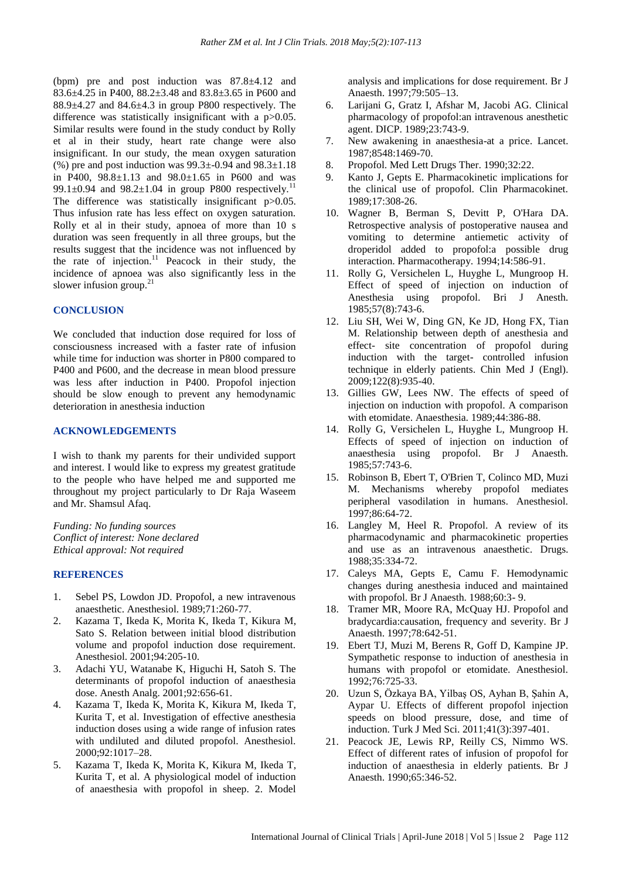(bpm) pre and post induction was 87.8±4.12 and 83.6±4.25 in P400, 88.2±3.48 and 83.8±3.65 in P600 and  $88.9\pm4.27$  and  $84.6\pm4.3$  in group P800 respectively. The difference was statistically insignificant with a p > 0.05. Similar results were found in the study conduct by Rolly et al in their study, heart rate change were also insignificant. In our study, the mean oxygen saturation (%) pre and post induction was  $99.3 \pm 0.94$  and  $98.3 \pm 1.18$ in P400, 98.8±1.13 and 98.0±1.65 in P600 and was 99.1 $\pm$ 0.94 and 98.2 $\pm$ 1.04 in group P800 respectively.<sup>11</sup> The difference was statistically insignificant p > 0.05. Thus infusion rate has less effect on oxygen saturation. Rolly et al in their study, apnoea of more than 10 s duration was seen frequently in all three groups, but the results suggest that the incidence was not influenced by the rate of injection.<sup>11</sup> Peacock in their study, the incidence of apnoea was also significantly less in the slower infusion group.<sup>21</sup>

#### **CONCLUSION**

We concluded that induction dose required for loss of consciousness increased with a faster rate of infusion while time for induction was shorter in P800 compared to P400 and P600, and the decrease in mean blood pressure was less after induction in P400. Propofol injection should be slow enough to prevent any hemodynamic deterioration in anesthesia induction

## **ACKNOWLEDGEMENTS**

I wish to thank my parents for their undivided support and interest. I would like to express my greatest gratitude to the people who have helped me and supported me throughout my project particularly to Dr Raja Waseem and Mr. Shamsul Afaq.

*Funding: No funding sources Conflict of interest: None declared Ethical approval: Not required*

### **REFERENCES**

- 1. Sebel PS, Lowdon JD. Propofol, a new intravenous anaesthetic. Anesthesiol. 1989;71:260-77.
- 2. Kazama T, Ikeda K, Morita K, Ikeda T, Kikura M, Sato S. Relation between initial blood distribution volume and propofol induction dose requirement. Anesthesiol. 2001;94:205-10.
- 3. Adachi YU, Watanabe K, Higuchi H, Satoh S. The determinants of propofol induction of anaesthesia dose. Anesth Analg. 2001;92:656-61.
- 4. Kazama T, Ikeda K, Morita K, Kikura M, Ikeda T, Kurita T, et al. Investigation of effective anesthesia induction doses using a wide range of infusion rates with undiluted and diluted propofol. Anesthesiol. 2000;92:1017–28.
- 5. Kazama T, Ikeda K, Morita K, Kikura M, Ikeda T, Kurita T, et al. A physiological model of induction of anaesthesia with propofol in sheep. 2. Model

analysis and implications for dose requirement. Br J Anaesth. 1997;79:505–13.

- 6. Larijani G, Gratz I, Afshar M, Jacobi AG. Clinical pharmacology of propofol:an intravenous anesthetic agent. DICP. 1989;23:743-9.
- 7. New awakening in anaesthesia-at a price. Lancet. 1987;8548:1469-70.
- 8. Propofol. Med Lett Drugs Ther. 1990;32:22.
- 9. Kanto J, Gepts E. Pharmacokinetic implications for the clinical use of propofol. Clin Pharmacokinet. 1989;17:308-26.
- 10. Wagner B, Berman S, Devitt P, O'Hara DA. Retrospective analysis of postoperative nausea and vomiting to determine antiemetic activity of droperidol added to propofol:a possible drug interaction. Pharmacotherapy. 1994;14:586-91.
- 11. Rolly G, Versichelen L, Huyghe L, Mungroop H. Effect of speed of injection on induction of Anesthesia using propofol. Bri J Anesth. 1985;57(8):743-6.
- 12. Liu SH, Wei W, Ding GN, Ke JD, Hong FX, Tian M. Relationship between depth of anesthesia and effect- site concentration of propofol during induction with the target- controlled infusion technique in elderly patients. Chin Med J (Engl). 2009;122(8):935-40.
- 13. Gillies GW, Lees NW. The effects of speed of injection on induction with propofol. A comparison with etomidate. Anaesthesia. 1989;44:386-88.
- 14. Rolly G, Versichelen L, Huyghe L, Mungroop H. Effects of speed of injection on induction of anaesthesia using propofol. Br J Anaesth. 1985;57:743-6.
- 15. Robinson B, Ebert T, O'Brien T, Colinco MD, Muzi M. Mechanisms whereby propofol mediates peripheral vasodilation in humans. Anesthesiol. 1997;86:64-72.
- 16. Langley M, Heel R. Propofol. A review of its pharmacodynamic and pharmacokinetic properties and use as an intravenous anaesthetic. Drugs. 1988;35:334-72.
- 17. Caleys MA, Gepts E, Camu F. Hemodynamic changes during anesthesia induced and maintained with propofol. Br J Anaesth. 1988;60:3- 9.
- 18. Tramer MR, Moore RA, McQuay HJ. Propofol and bradycardia:causation, frequency and severity. Br J Anaesth. 1997;78:642-51.
- 19. Ebert TJ, Muzi M, Berens R, Goff D, Kampine JP. Sympathetic response to induction of anesthesia in humans with propofol or etomidate. Anesthesiol. 1992;76:725-33.
- 20. Uzun S, Özkaya BA, Yilbaş OS, Ayhan B, Şahin A, Aypar U. Effects of different propofol injection speeds on blood pressure, dose, and time of induction. Turk J Med Sci. 2011;41(3):397-401.
- 21. Peacock JE, Lewis RP, Reilly CS, Nimmo WS. Effect of different rates of infusion of propofol for induction of anaesthesia in elderly patients. Br J Anaesth. 1990;65:346-52.